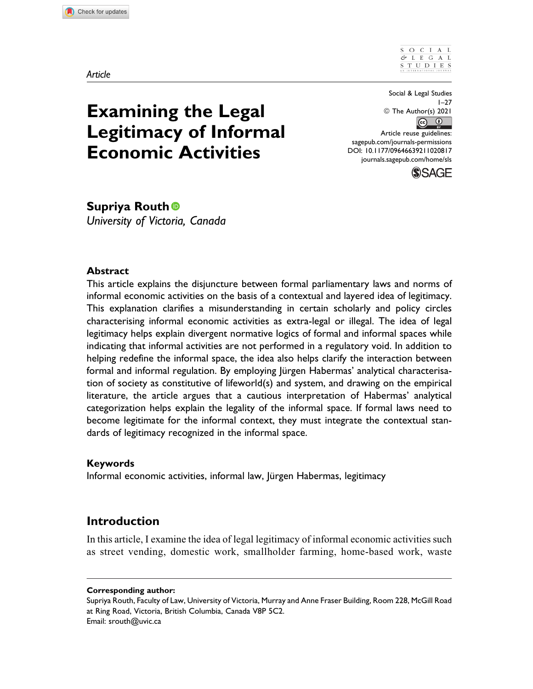# **Examining the Legal Legitimacy of Informal Economic Activities**

Social & Legal Studies  $1 - 27$ © The Author(s) 2021  $\circ$   $\circ$ Article reuse guidelines: sagepub.com/journals-permissions DOI: 10.1177/09646639211020817 journals.sagepub.com/home/sls



**Supriya Routh**

*University of Victoria, Canada*

## **Abstract**

This article explains the disjuncture between formal parliamentary laws and norms of informal economic activities on the basis of a contextual and layered idea of legitimacy. This explanation clarifies a misunderstanding in certain scholarly and policy circles characterising informal economic activities as extra-legal or illegal. The idea of legal legitimacy helps explain divergent normative logics of formal and informal spaces while indicating that informal activities are not performed in a regulatory void. In addition to helping redefine the informal space, the idea also helps clarify the interaction between formal and informal regulation. By employing Jürgen Habermas' analytical characterisation of society as constitutive of lifeworld(s) and system, and drawing on the empirical literature, the article argues that a cautious interpretation of Habermas' analytical categorization helps explain the legality of the informal space. If formal laws need to become legitimate for the informal context, they must integrate the contextual standards of legitimacy recognized in the informal space.

## **Keywords**

Informal economic activities, informal law, Jürgen Habermas, legitimacy

## **Introduction**

In this article, I examine the idea of legal legitimacy of informal economic activities such as street vending, domestic work, smallholder farming, home-based work, waste

#### **Corresponding author:**

Supriya Routh, Faculty of Law, University of Victoria, Murray and Anne Fraser Building, Room 228, McGill Road at Ring Road, Victoria, British Columbia, Canada V8P 5C2. Email: srouth@uvic.ca

*Article*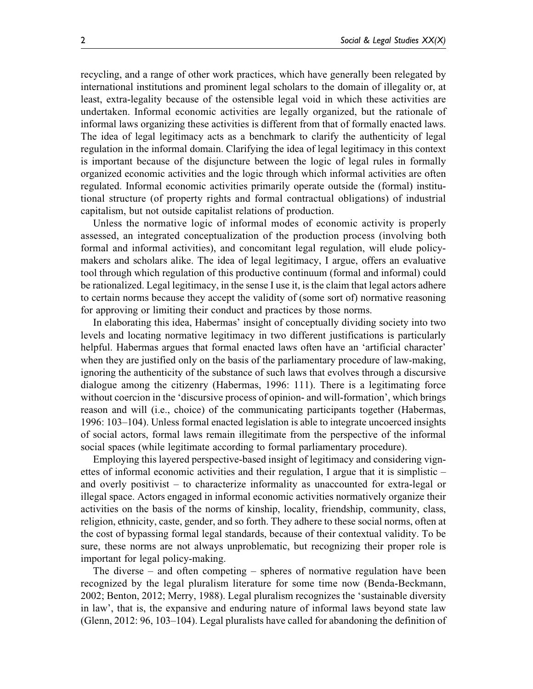recycling, and a range of other work practices, which have generally been relegated by international institutions and prominent legal scholars to the domain of illegality or, at least, extra-legality because of the ostensible legal void in which these activities are undertaken. Informal economic activities are legally organized, but the rationale of informal laws organizing these activities is different from that of formally enacted laws. The idea of legal legitimacy acts as a benchmark to clarify the authenticity of legal regulation in the informal domain. Clarifying the idea of legal legitimacy in this context is important because of the disjuncture between the logic of legal rules in formally organized economic activities and the logic through which informal activities are often regulated. Informal economic activities primarily operate outside the (formal) institutional structure (of property rights and formal contractual obligations) of industrial capitalism, but not outside capitalist relations of production.

Unless the normative logic of informal modes of economic activity is properly assessed, an integrated conceptualization of the production process (involving both formal and informal activities), and concomitant legal regulation, will elude policymakers and scholars alike. The idea of legal legitimacy, I argue, offers an evaluative tool through which regulation of this productive continuum (formal and informal) could be rationalized. Legal legitimacy, in the sense I use it, is the claim that legal actors adhere to certain norms because they accept the validity of (some sort of) normative reasoning for approving or limiting their conduct and practices by those norms.

In elaborating this idea, Habermas' insight of conceptually dividing society into two levels and locating normative legitimacy in two different justifications is particularly helpful. Habermas argues that formal enacted laws often have an 'artificial character' when they are justified only on the basis of the parliamentary procedure of law-making, ignoring the authenticity of the substance of such laws that evolves through a discursive dialogue among the citizenry (Habermas, 1996: 111). There is a legitimating force without coercion in the 'discursive process of opinion- and will-formation', which brings reason and will (i.e., choice) of the communicating participants together (Habermas, 1996: 103–104). Unless formal enacted legislation is able to integrate uncoerced insights of social actors, formal laws remain illegitimate from the perspective of the informal social spaces (while legitimate according to formal parliamentary procedure).

Employing this layered perspective-based insight of legitimacy and considering vignettes of informal economic activities and their regulation, I argue that it is simplistic – and overly positivist – to characterize informality as unaccounted for extra-legal or illegal space. Actors engaged in informal economic activities normatively organize their activities on the basis of the norms of kinship, locality, friendship, community, class, religion, ethnicity, caste, gender, and so forth. They adhere to these social norms, often at the cost of bypassing formal legal standards, because of their contextual validity. To be sure, these norms are not always unproblematic, but recognizing their proper role is important for legal policy-making.

The diverse – and often competing – spheres of normative regulation have been recognized by the legal pluralism literature for some time now (Benda-Beckmann, 2002; Benton, 2012; Merry, 1988). Legal pluralism recognizes the 'sustainable diversity in law', that is, the expansive and enduring nature of informal laws beyond state law (Glenn, 2012: 96, 103–104). Legal pluralists have called for abandoning the definition of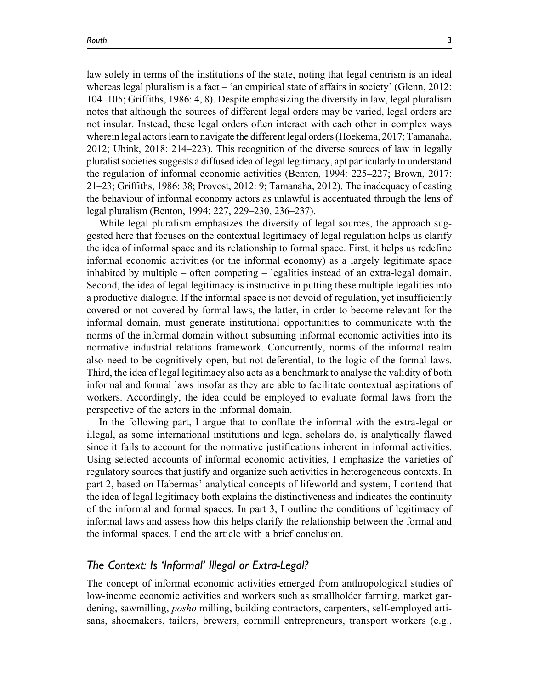law solely in terms of the institutions of the state, noting that legal centrism is an ideal whereas legal pluralism is a fact  $-$  'an empirical state of affairs in society' (Glenn, 2012: 104–105; Griffiths, 1986: 4, 8). Despite emphasizing the diversity in law, legal pluralism notes that although the sources of different legal orders may be varied, legal orders are not insular. Instead, these legal orders often interact with each other in complex ways wherein legal actors learn to navigate the different legal orders (Hoekema, 2017; Tamanaha, 2012; Ubink, 2018: 214–223). This recognition of the diverse sources of law in legally pluralist societies suggests a diffused idea of legal legitimacy, apt particularly to understand the regulation of informal economic activities (Benton, 1994: 225–227; Brown, 2017: 21–23; Griffiths, 1986: 38; Provost, 2012: 9; Tamanaha, 2012). The inadequacy of casting the behaviour of informal economy actors as unlawful is accentuated through the lens of legal pluralism (Benton, 1994: 227, 229–230, 236–237).

While legal pluralism emphasizes the diversity of legal sources, the approach suggested here that focuses on the contextual legitimacy of legal regulation helps us clarify the idea of informal space and its relationship to formal space. First, it helps us redefine informal economic activities (or the informal economy) as a largely legitimate space inhabited by multiple – often competing – legalities instead of an extra-legal domain. Second, the idea of legal legitimacy is instructive in putting these multiple legalities into a productive dialogue. If the informal space is not devoid of regulation, yet insufficiently covered or not covered by formal laws, the latter, in order to become relevant for the informal domain, must generate institutional opportunities to communicate with the norms of the informal domain without subsuming informal economic activities into its normative industrial relations framework. Concurrently, norms of the informal realm also need to be cognitively open, but not deferential, to the logic of the formal laws. Third, the idea of legal legitimacy also acts as a benchmark to analyse the validity of both informal and formal laws insofar as they are able to facilitate contextual aspirations of workers. Accordingly, the idea could be employed to evaluate formal laws from the perspective of the actors in the informal domain.

In the following part, I argue that to conflate the informal with the extra-legal or illegal, as some international institutions and legal scholars do, is analytically flawed since it fails to account for the normative justifications inherent in informal activities. Using selected accounts of informal economic activities, I emphasize the varieties of regulatory sources that justify and organize such activities in heterogeneous contexts. In part 2, based on Habermas' analytical concepts of lifeworld and system, I contend that the idea of legal legitimacy both explains the distinctiveness and indicates the continuity of the informal and formal spaces. In part 3, I outline the conditions of legitimacy of informal laws and assess how this helps clarify the relationship between the formal and the informal spaces. I end the article with a brief conclusion.

## *The Context: Is 'Informal' Illegal or Extra-Legal?*

The concept of informal economic activities emerged from anthropological studies of low-income economic activities and workers such as smallholder farming, market gardening, sawmilling, posho milling, building contractors, carpenters, self-employed artisans, shoemakers, tailors, brewers, cornmill entrepreneurs, transport workers (e.g.,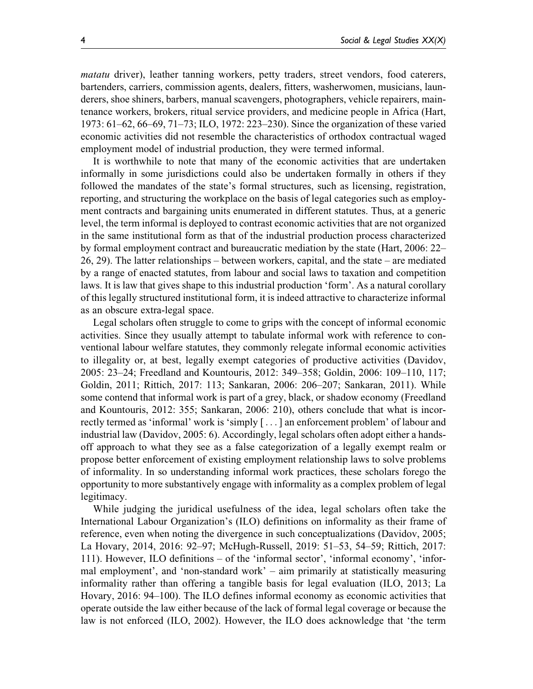matatu driver), leather tanning workers, petty traders, street vendors, food caterers, bartenders, carriers, commission agents, dealers, fitters, washerwomen, musicians, launderers, shoe shiners, barbers, manual scavengers, photographers, vehicle repairers, maintenance workers, brokers, ritual service providers, and medicine people in Africa (Hart, 1973: 61–62, 66–69, 71–73; ILO, 1972: 223–230). Since the organization of these varied economic activities did not resemble the characteristics of orthodox contractual waged employment model of industrial production, they were termed informal.

It is worthwhile to note that many of the economic activities that are undertaken informally in some jurisdictions could also be undertaken formally in others if they followed the mandates of the state's formal structures, such as licensing, registration, reporting, and structuring the workplace on the basis of legal categories such as employment contracts and bargaining units enumerated in different statutes. Thus, at a generic level, the term informal is deployed to contrast economic activities that are not organized in the same institutional form as that of the industrial production process characterized by formal employment contract and bureaucratic mediation by the state (Hart, 2006: 22– 26, 29). The latter relationships – between workers, capital, and the state – are mediated by a range of enacted statutes, from labour and social laws to taxation and competition laws. It is law that gives shape to this industrial production 'form'. As a natural corollary of this legally structured institutional form, it is indeed attractive to characterize informal as an obscure extra-legal space.

Legal scholars often struggle to come to grips with the concept of informal economic activities. Since they usually attempt to tabulate informal work with reference to conventional labour welfare statutes, they commonly relegate informal economic activities to illegality or, at best, legally exempt categories of productive activities (Davidov, 2005: 23–24; Freedland and Kountouris, 2012: 349–358; Goldin, 2006: 109–110, 117; Goldin, 2011; Rittich, 2017: 113; Sankaran, 2006: 206–207; Sankaran, 2011). While some contend that informal work is part of a grey, black, or shadow economy (Freedland and Kountouris, 2012: 355; Sankaran, 2006: 210), others conclude that what is incorrectly termed as 'informal' work is 'simply [ ... ] an enforcement problem' of labour and industrial law (Davidov, 2005: 6). Accordingly, legal scholars often adopt either a handsoff approach to what they see as a false categorization of a legally exempt realm or propose better enforcement of existing employment relationship laws to solve problems of informality. In so understanding informal work practices, these scholars forego the opportunity to more substantively engage with informality as a complex problem of legal legitimacy.

While judging the juridical usefulness of the idea, legal scholars often take the International Labour Organization's (ILO) definitions on informality as their frame of reference, even when noting the divergence in such conceptualizations (Davidov, 2005; La Hovary, 2014, 2016: 92–97; McHugh-Russell, 2019: 51–53, 54–59; Rittich, 2017: 111). However, ILO definitions – of the 'informal sector', 'informal economy', 'informal employment', and 'non-standard work' – aim primarily at statistically measuring informality rather than offering a tangible basis for legal evaluation (ILO, 2013; La Hovary, 2016: 94–100). The ILO defines informal economy as economic activities that operate outside the law either because of the lack of formal legal coverage or because the law is not enforced (ILO, 2002). However, the ILO does acknowledge that 'the term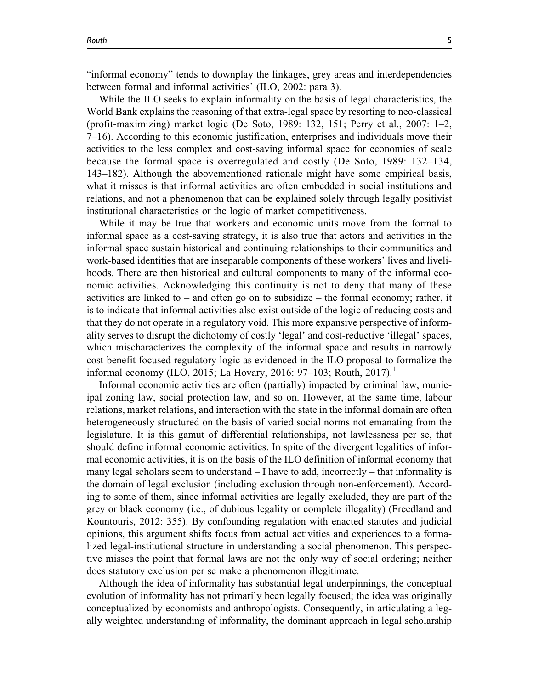"informal economy" tends to downplay the linkages, grey areas and interdependencies between formal and informal activities' (ILO, 2002: para 3).

While the ILO seeks to explain informality on the basis of legal characteristics, the World Bank explains the reasoning of that extra-legal space by resorting to neo-classical (profit-maximizing) market logic (De Soto, 1989: 132, 151; Perry et al., 2007: 1–2, 7–16). According to this economic justification, enterprises and individuals move their activities to the less complex and cost-saving informal space for economies of scale because the formal space is overregulated and costly (De Soto, 1989: 132–134, 143–182). Although the abovementioned rationale might have some empirical basis, what it misses is that informal activities are often embedded in social institutions and relations, and not a phenomenon that can be explained solely through legally positivist institutional characteristics or the logic of market competitiveness.

While it may be true that workers and economic units move from the formal to informal space as a cost-saving strategy, it is also true that actors and activities in the informal space sustain historical and continuing relationships to their communities and work-based identities that are inseparable components of these workers' lives and livelihoods. There are then historical and cultural components to many of the informal economic activities. Acknowledging this continuity is not to deny that many of these activities are linked to  $-$  and often go on to subsidize  $-$  the formal economy; rather, it is to indicate that informal activities also exist outside of the logic of reducing costs and that they do not operate in a regulatory void. This more expansive perspective of informality serves to disrupt the dichotomy of costly 'legal' and cost-reductive 'illegal' spaces, which mischaracterizes the complexity of the informal space and results in narrowly cost-benefit focused regulatory logic as evidenced in the ILO proposal to formalize the informal economy (ILO, 2015; La Hovary, 2016: 97–103; Routh, 2017).<sup>1</sup>

Informal economic activities are often (partially) impacted by criminal law, municipal zoning law, social protection law, and so on. However, at the same time, labour relations, market relations, and interaction with the state in the informal domain are often heterogeneously structured on the basis of varied social norms not emanating from the legislature. It is this gamut of differential relationships, not lawlessness per se, that should define informal economic activities. In spite of the divergent legalities of informal economic activities, it is on the basis of the ILO definition of informal economy that many legal scholars seem to understand  $-1$  have to add, incorrectly  $-$  that informality is the domain of legal exclusion (including exclusion through non-enforcement). According to some of them, since informal activities are legally excluded, they are part of the grey or black economy (i.e., of dubious legality or complete illegality) (Freedland and Kountouris, 2012: 355). By confounding regulation with enacted statutes and judicial opinions, this argument shifts focus from actual activities and experiences to a formalized legal-institutional structure in understanding a social phenomenon. This perspective misses the point that formal laws are not the only way of social ordering; neither does statutory exclusion per se make a phenomenon illegitimate.

Although the idea of informality has substantial legal underpinnings, the conceptual evolution of informality has not primarily been legally focused; the idea was originally conceptualized by economists and anthropologists. Consequently, in articulating a legally weighted understanding of informality, the dominant approach in legal scholarship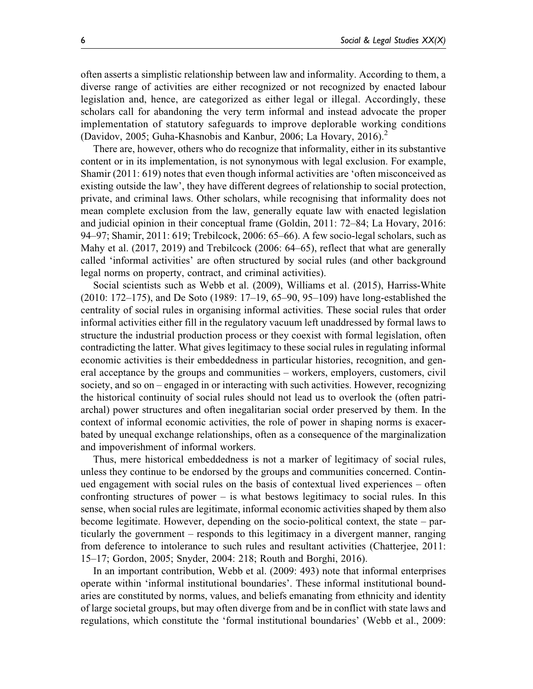often asserts a simplistic relationship between law and informality. According to them, a diverse range of activities are either recognized or not recognized by enacted labour legislation and, hence, are categorized as either legal or illegal. Accordingly, these scholars call for abandoning the very term informal and instead advocate the proper implementation of statutory safeguards to improve deplorable working conditions (Davidov, 2005; Guha-Khasnobis and Kanbur, 2006; La Hovary, 2016).<sup>2</sup>

There are, however, others who do recognize that informality, either in its substantive content or in its implementation, is not synonymous with legal exclusion. For example, Shamir (2011: 619) notes that even though informal activities are 'often misconceived as existing outside the law', they have different degrees of relationship to social protection, private, and criminal laws. Other scholars, while recognising that informality does not mean complete exclusion from the law, generally equate law with enacted legislation and judicial opinion in their conceptual frame (Goldin, 2011: 72–84; La Hovary, 2016: 94–97; Shamir, 2011: 619; Trebilcock, 2006: 65–66). A few socio-legal scholars, such as Mahy et al. (2017, 2019) and Trebilcock (2006: 64–65), reflect that what are generally called 'informal activities' are often structured by social rules (and other background legal norms on property, contract, and criminal activities).

Social scientists such as Webb et al. (2009), Williams et al. (2015), Harriss-White (2010: 172–175), and De Soto (1989: 17–19, 65–90, 95–109) have long-established the centrality of social rules in organising informal activities. These social rules that order informal activities either fill in the regulatory vacuum left unaddressed by formal laws to structure the industrial production process or they coexist with formal legislation, often contradicting the latter. What gives legitimacy to these social rules in regulating informal economic activities is their embeddedness in particular histories, recognition, and general acceptance by the groups and communities – workers, employers, customers, civil society, and so on – engaged in or interacting with such activities. However, recognizing the historical continuity of social rules should not lead us to overlook the (often patriarchal) power structures and often inegalitarian social order preserved by them. In the context of informal economic activities, the role of power in shaping norms is exacerbated by unequal exchange relationships, often as a consequence of the marginalization and impoverishment of informal workers.

Thus, mere historical embeddedness is not a marker of legitimacy of social rules, unless they continue to be endorsed by the groups and communities concerned. Continued engagement with social rules on the basis of contextual lived experiences – often confronting structures of power – is what bestows legitimacy to social rules. In this sense, when social rules are legitimate, informal economic activities shaped by them also become legitimate. However, depending on the socio-political context, the state – particularly the government – responds to this legitimacy in a divergent manner, ranging from deference to intolerance to such rules and resultant activities (Chatterjee, 2011: 15–17; Gordon, 2005; Snyder, 2004: 218; Routh and Borghi, 2016).

In an important contribution, Webb et al. (2009: 493) note that informal enterprises operate within 'informal institutional boundaries'. These informal institutional boundaries are constituted by norms, values, and beliefs emanating from ethnicity and identity of large societal groups, but may often diverge from and be in conflict with state laws and regulations, which constitute the 'formal institutional boundaries' (Webb et al., 2009: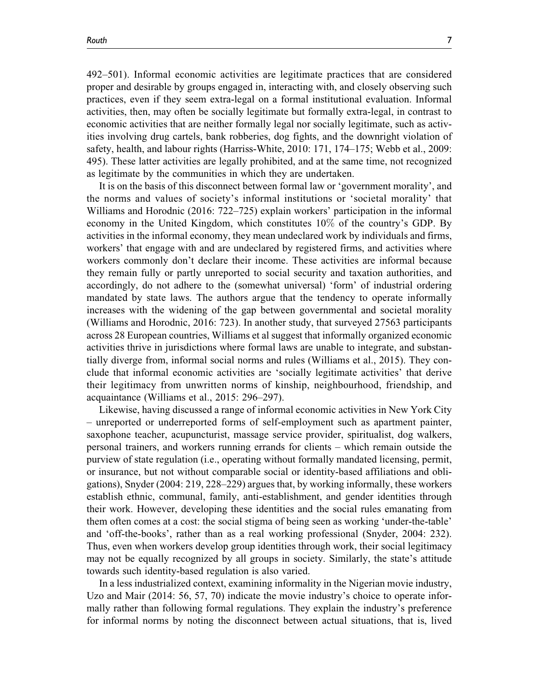492–501). Informal economic activities are legitimate practices that are considered proper and desirable by groups engaged in, interacting with, and closely observing such practices, even if they seem extra-legal on a formal institutional evaluation. Informal activities, then, may often be socially legitimate but formally extra-legal, in contrast to economic activities that are neither formally legal nor socially legitimate, such as activities involving drug cartels, bank robberies, dog fights, and the downright violation of safety, health, and labour rights (Harriss-White, 2010: 171, 174–175; Webb et al., 2009: 495). These latter activities are legally prohibited, and at the same time, not recognized as legitimate by the communities in which they are undertaken.

It is on the basis of this disconnect between formal law or 'government morality', and the norms and values of society's informal institutions or 'societal morality' that Williams and Horodnic (2016: 722–725) explain workers' participation in the informal economy in the United Kingdom, which constitutes 10% of the country's GDP. By activities in the informal economy, they mean undeclared work by individuals and firms, workers' that engage with and are undeclared by registered firms, and activities where workers commonly don't declare their income. These activities are informal because they remain fully or partly unreported to social security and taxation authorities, and accordingly, do not adhere to the (somewhat universal) 'form' of industrial ordering mandated by state laws. The authors argue that the tendency to operate informally increases with the widening of the gap between governmental and societal morality (Williams and Horodnic, 2016: 723). In another study, that surveyed 27563 participants across 28 European countries, Williams et al suggest that informally organized economic activities thrive in jurisdictions where formal laws are unable to integrate, and substantially diverge from, informal social norms and rules (Williams et al., 2015). They conclude that informal economic activities are 'socially legitimate activities' that derive their legitimacy from unwritten norms of kinship, neighbourhood, friendship, and acquaintance (Williams et al., 2015: 296–297).

Likewise, having discussed a range of informal economic activities in New York City – unreported or underreported forms of self-employment such as apartment painter, saxophone teacher, acupuncturist, massage service provider, spiritualist, dog walkers, personal trainers, and workers running errands for clients – which remain outside the purview of state regulation (i.e., operating without formally mandated licensing, permit, or insurance, but not without comparable social or identity-based affiliations and obligations), Snyder (2004: 219, 228–229) argues that, by working informally, these workers establish ethnic, communal, family, anti-establishment, and gender identities through their work. However, developing these identities and the social rules emanating from them often comes at a cost: the social stigma of being seen as working 'under-the-table' and 'off-the-books', rather than as a real working professional (Snyder, 2004: 232). Thus, even when workers develop group identities through work, their social legitimacy may not be equally recognized by all groups in society. Similarly, the state's attitude towards such identity-based regulation is also varied.

In a less industrialized context, examining informality in the Nigerian movie industry, Uzo and Mair (2014: 56, 57, 70) indicate the movie industry's choice to operate informally rather than following formal regulations. They explain the industry's preference for informal norms by noting the disconnect between actual situations, that is, lived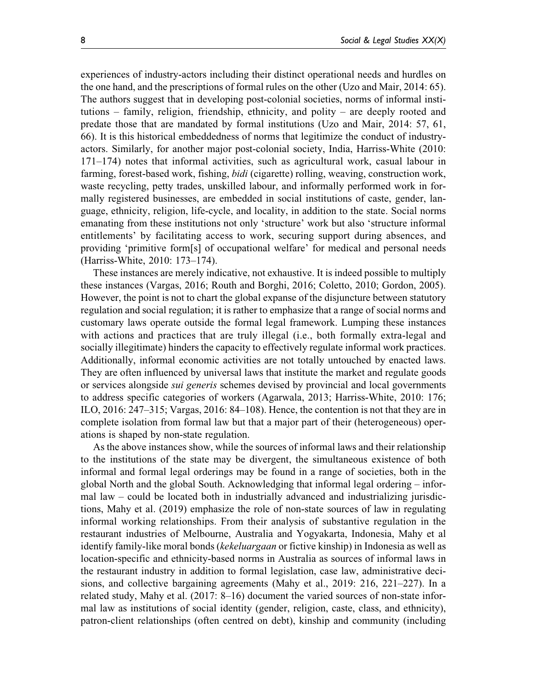experiences of industry-actors including their distinct operational needs and hurdles on the one hand, and the prescriptions of formal rules on the other (Uzo and Mair, 2014: 65). The authors suggest that in developing post-colonial societies, norms of informal institutions – family, religion, friendship, ethnicity, and polity – are deeply rooted and predate those that are mandated by formal institutions (Uzo and Mair, 2014: 57, 61, 66). It is this historical embeddedness of norms that legitimize the conduct of industryactors. Similarly, for another major post-colonial society, India, Harriss-White (2010: 171–174) notes that informal activities, such as agricultural work, casual labour in farming, forest-based work, fishing, *bidi* (cigarette) rolling, weaving, construction work, waste recycling, petty trades, unskilled labour, and informally performed work in formally registered businesses, are embedded in social institutions of caste, gender, language, ethnicity, religion, life-cycle, and locality, in addition to the state. Social norms emanating from these institutions not only 'structure' work but also 'structure informal entitlements' by facilitating access to work, securing support during absences, and providing 'primitive form[s] of occupational welfare' for medical and personal needs (Harriss-White, 2010: 173–174).

These instances are merely indicative, not exhaustive. It is indeed possible to multiply these instances (Vargas, 2016; Routh and Borghi, 2016; Coletto, 2010; Gordon, 2005). However, the point is not to chart the global expanse of the disjuncture between statutory regulation and social regulation; it is rather to emphasize that a range of social norms and customary laws operate outside the formal legal framework. Lumping these instances with actions and practices that are truly illegal (i.e., both formally extra-legal and socially illegitimate) hinders the capacity to effectively regulate informal work practices. Additionally, informal economic activities are not totally untouched by enacted laws. They are often influenced by universal laws that institute the market and regulate goods or services alongside sui generis schemes devised by provincial and local governments to address specific categories of workers (Agarwala, 2013; Harriss-White, 2010: 176; ILO, 2016: 247–315; Vargas, 2016: 84–108). Hence, the contention is not that they are in complete isolation from formal law but that a major part of their (heterogeneous) operations is shaped by non-state regulation.

As the above instances show, while the sources of informal laws and their relationship to the institutions of the state may be divergent, the simultaneous existence of both informal and formal legal orderings may be found in a range of societies, both in the global North and the global South. Acknowledging that informal legal ordering – informal law – could be located both in industrially advanced and industrializing jurisdictions, Mahy et al. (2019) emphasize the role of non-state sources of law in regulating informal working relationships. From their analysis of substantive regulation in the restaurant industries of Melbourne, Australia and Yogyakarta, Indonesia, Mahy et al identify family-like moral bonds (kekeluargaan or fictive kinship) in Indonesia as well as location-specific and ethnicity-based norms in Australia as sources of informal laws in the restaurant industry in addition to formal legislation, case law, administrative decisions, and collective bargaining agreements (Mahy et al., 2019: 216, 221–227). In a related study, Mahy et al. (2017: 8–16) document the varied sources of non-state informal law as institutions of social identity (gender, religion, caste, class, and ethnicity), patron-client relationships (often centred on debt), kinship and community (including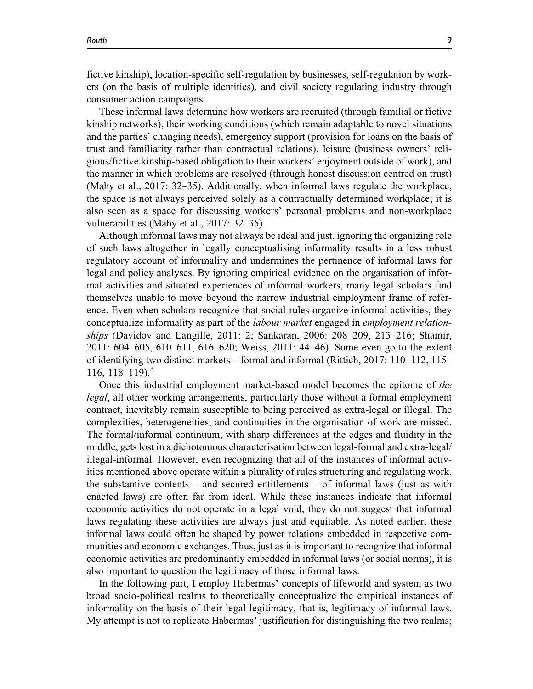fictive kinship), location-specific self-regulation by businesses, self-regulation by workers (on the basis of multiple identities), and civil society regulating industry through consumer action campaigns.

These informal laws determine how workers are recruited (through familial or fictive kinship networks), their working conditions (which remain adaptable to novel situations and the parties' changing needs), emergency support (provision for loans on the basis of trust and familiarity rather than contractual relations), leisure (business owners' religious/fictive kinship-based obligation to their workers' enjoyment outside of work), and the manner in which problems are resolved (through honest discussion centred on trust) (Mahy et al., 2017: 32–35). Additionally, when informal laws regulate the workplace, the space is not always perceived solely as a contractually determined workplace; it is also seen as a space for discussing workers' personal problems and non-workplace vulnerabilities (Mahy et al., 2017: 32–35).

Although informal laws may not always be ideal and just, ignoring the organizing role of such laws altogether in legally conceptualising informality results in a less robust regulatory account of informality and undermines the pertinence of informal laws for legal and policy analyses. By ignoring empirical evidence on the organisation of informal activities and situated experiences of informal workers, many legal scholars find themselves unable to move beyond the narrow industrial employment frame of reference. Even when scholars recognize that social rules organize informal activities, they conceptualize informality as part of the labour market engaged in employment relationships (Davidov and Langille, 2011: 2; Sankaran, 2006: 208–209, 213–216; Shamir, 2011: 604–605, 610–611, 616–620; Weiss, 2011: 44–46). Some even go to the extent of identifying two distinct markets – formal and informal (Rittich, 2017: 110–112, 115– 116, 118–119).<sup>3</sup>

Once this industrial employment market-based model becomes the epitome of the legal, all other working arrangements, particularly those without a formal employment contract, inevitably remain susceptible to being perceived as extra-legal or illegal. The complexities, heterogeneities, and continuities in the organisation of work are missed. The formal/informal continuum, with sharp differences at the edges and fluidity in the middle, gets lost in a dichotomous characterisation between legal-formal and extra-legal/ illegal-informal. However, even recognizing that all of the instances of informal activities mentioned above operate within a plurality of rules structuring and regulating work, the substantive contents – and secured entitlements – of informal laws (just as with enacted laws) are often far from ideal. While these instances indicate that informal economic activities do not operate in a legal void, they do not suggest that informal laws regulating these activities are always just and equitable. As noted earlier, these informal laws could often be shaped by power relations embedded in respective communities and economic exchanges. Thus, just as it is important to recognize that informal economic activities are predominantly embedded in informal laws (or social norms), it is also important to question the legitimacy of those informal laws.

In the following part, I employ Habermas' concepts of lifeworld and system as two broad socio-political realms to theoretically conceptualize the empirical instances of informality on the basis of their legal legitimacy, that is, legitimacy of informal laws. My attempt is not to replicate Habermas' justification for distinguishing the two realms;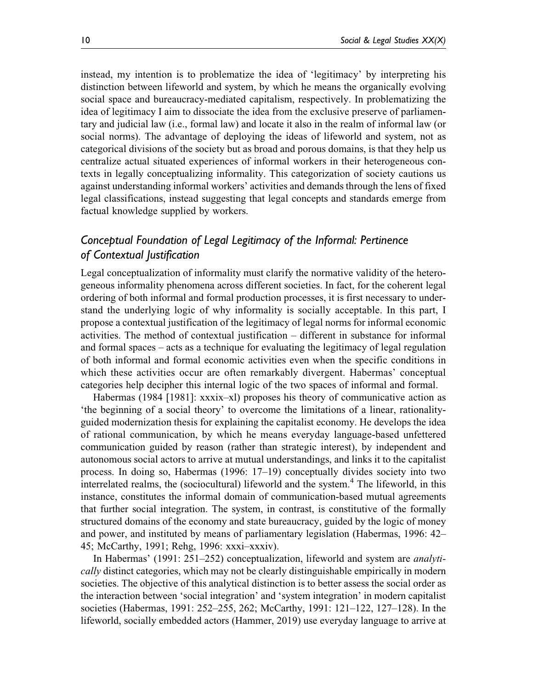instead, my intention is to problematize the idea of 'legitimacy' by interpreting his distinction between lifeworld and system, by which he means the organically evolving social space and bureaucracy-mediated capitalism, respectively. In problematizing the idea of legitimacy I aim to dissociate the idea from the exclusive preserve of parliamentary and judicial law (i.e., formal law) and locate it also in the realm of informal law (or social norms). The advantage of deploying the ideas of lifeworld and system, not as categorical divisions of the society but as broad and porous domains, is that they help us centralize actual situated experiences of informal workers in their heterogeneous contexts in legally conceptualizing informality. This categorization of society cautions us against understanding informal workers' activities and demands through the lens of fixed legal classifications, instead suggesting that legal concepts and standards emerge from factual knowledge supplied by workers.

## *Conceptual Foundation of Legal Legitimacy of the Informal: Pertinence of Contextual Justification*

Legal conceptualization of informality must clarify the normative validity of the heterogeneous informality phenomena across different societies. In fact, for the coherent legal ordering of both informal and formal production processes, it is first necessary to understand the underlying logic of why informality is socially acceptable. In this part, I propose a contextual justification of the legitimacy of legal norms for informal economic activities. The method of contextual justification – different in substance for informal and formal spaces – acts as a technique for evaluating the legitimacy of legal regulation of both informal and formal economic activities even when the specific conditions in which these activities occur are often remarkably divergent. Habermas' conceptual categories help decipher this internal logic of the two spaces of informal and formal.

Habermas (1984 [1981]: xxxix–xl) proposes his theory of communicative action as 'the beginning of a social theory' to overcome the limitations of a linear, rationalityguided modernization thesis for explaining the capitalist economy. He develops the idea of rational communication, by which he means everyday language-based unfettered communication guided by reason (rather than strategic interest), by independent and autonomous social actors to arrive at mutual understandings, and links it to the capitalist process. In doing so, Habermas (1996: 17–19) conceptually divides society into two interrelated realms, the (sociocultural) lifeworld and the system.<sup>4</sup> The lifeworld, in this instance, constitutes the informal domain of communication-based mutual agreements that further social integration. The system, in contrast, is constitutive of the formally structured domains of the economy and state bureaucracy, guided by the logic of money and power, and instituted by means of parliamentary legislation (Habermas, 1996: 42– 45; McCarthy, 1991; Rehg, 1996: xxxi–xxxiv).

In Habermas' (1991: 251–252) conceptualization, lifeworld and system are analytically distinct categories, which may not be clearly distinguishable empirically in modern societies. The objective of this analytical distinction is to better assess the social order as the interaction between 'social integration' and 'system integration' in modern capitalist societies (Habermas, 1991: 252–255, 262; McCarthy, 1991: 121–122, 127–128). In the lifeworld, socially embedded actors (Hammer, 2019) use everyday language to arrive at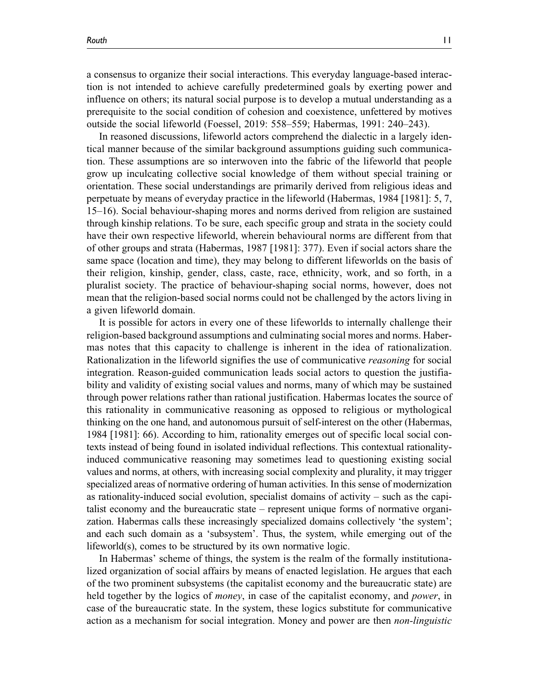a consensus to organize their social interactions. This everyday language-based interaction is not intended to achieve carefully predetermined goals by exerting power and influence on others; its natural social purpose is to develop a mutual understanding as a

outside the social lifeworld (Foessel, 2019: 558–559; Habermas, 1991: 240–243). In reasoned discussions, lifeworld actors comprehend the dialectic in a largely identical manner because of the similar background assumptions guiding such communication. These assumptions are so interwoven into the fabric of the lifeworld that people grow up inculcating collective social knowledge of them without special training or orientation. These social understandings are primarily derived from religious ideas and perpetuate by means of everyday practice in the lifeworld (Habermas, 1984 [1981]: 5, 7, 15–16). Social behaviour-shaping mores and norms derived from religion are sustained through kinship relations. To be sure, each specific group and strata in the society could have their own respective lifeworld, wherein behavioural norms are different from that of other groups and strata (Habermas, 1987 [1981]: 377). Even if social actors share the same space (location and time), they may belong to different lifeworlds on the basis of their religion, kinship, gender, class, caste, race, ethnicity, work, and so forth, in a pluralist society. The practice of behaviour-shaping social norms, however, does not mean that the religion-based social norms could not be challenged by the actors living in a given lifeworld domain.

prerequisite to the social condition of cohesion and coexistence, unfettered by motives

It is possible for actors in every one of these lifeworlds to internally challenge their religion-based background assumptions and culminating social mores and norms. Habermas notes that this capacity to challenge is inherent in the idea of rationalization. Rationalization in the lifeworld signifies the use of communicative reasoning for social integration. Reason-guided communication leads social actors to question the justifiability and validity of existing social values and norms, many of which may be sustained through power relations rather than rational justification. Habermas locates the source of this rationality in communicative reasoning as opposed to religious or mythological thinking on the one hand, and autonomous pursuit of self-interest on the other (Habermas, 1984 [1981]: 66). According to him, rationality emerges out of specific local social contexts instead of being found in isolated individual reflections. This contextual rationalityinduced communicative reasoning may sometimes lead to questioning existing social values and norms, at others, with increasing social complexity and plurality, it may trigger specialized areas of normative ordering of human activities. In this sense of modernization as rationality-induced social evolution, specialist domains of activity – such as the capitalist economy and the bureaucratic state – represent unique forms of normative organization. Habermas calls these increasingly specialized domains collectively 'the system'; and each such domain as a 'subsystem'. Thus, the system, while emerging out of the lifeworld(s), comes to be structured by its own normative logic.

In Habermas' scheme of things, the system is the realm of the formally institutionalized organization of social affairs by means of enacted legislation. He argues that each of the two prominent subsystems (the capitalist economy and the bureaucratic state) are held together by the logics of *money*, in case of the capitalist economy, and *power*, in case of the bureaucratic state. In the system, these logics substitute for communicative action as a mechanism for social integration. Money and power are then non-linguistic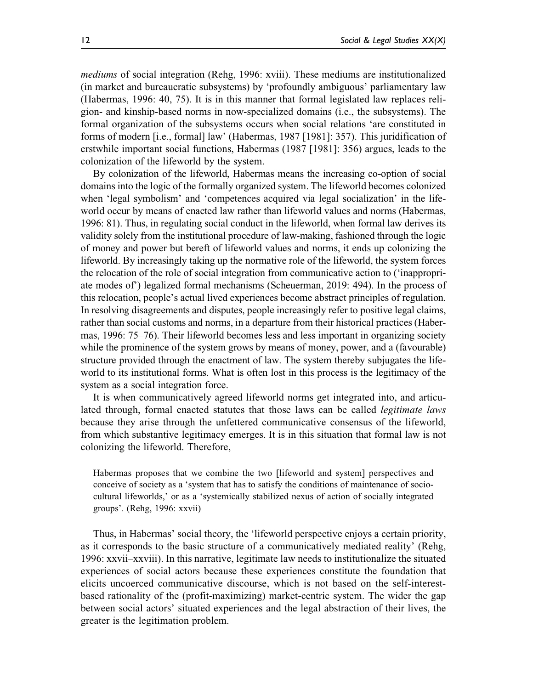mediums of social integration (Rehg, 1996: xviii). These mediums are institutionalized (in market and bureaucratic subsystems) by 'profoundly ambiguous' parliamentary law (Habermas, 1996: 40, 75). It is in this manner that formal legislated law replaces religion- and kinship-based norms in now-specialized domains (i.e., the subsystems). The formal organization of the subsystems occurs when social relations 'are constituted in forms of modern [i.e., formal] law' (Habermas, 1987 [1981]: 357). This juridification of erstwhile important social functions, Habermas (1987 [1981]: 356) argues, leads to the colonization of the lifeworld by the system.

By colonization of the lifeworld, Habermas means the increasing co-option of social domains into the logic of the formally organized system. The lifeworld becomes colonized when 'legal symbolism' and 'competences acquired via legal socialization' in the lifeworld occur by means of enacted law rather than lifeworld values and norms (Habermas, 1996: 81). Thus, in regulating social conduct in the lifeworld, when formal law derives its validity solely from the institutional procedure of law-making, fashioned through the logic of money and power but bereft of lifeworld values and norms, it ends up colonizing the lifeworld. By increasingly taking up the normative role of the lifeworld, the system forces the relocation of the role of social integration from communicative action to ('inappropriate modes of') legalized formal mechanisms (Scheuerman, 2019: 494). In the process of this relocation, people's actual lived experiences become abstract principles of regulation. In resolving disagreements and disputes, people increasingly refer to positive legal claims, rather than social customs and norms, in a departure from their historical practices (Habermas, 1996: 75–76). Their lifeworld becomes less and less important in organizing society while the prominence of the system grows by means of money, power, and a (favourable) structure provided through the enactment of law. The system thereby subjugates the lifeworld to its institutional forms. What is often lost in this process is the legitimacy of the system as a social integration force.

It is when communicatively agreed lifeworld norms get integrated into, and articulated through, formal enacted statutes that those laws can be called legitimate laws because they arise through the unfettered communicative consensus of the lifeworld, from which substantive legitimacy emerges. It is in this situation that formal law is not colonizing the lifeworld. Therefore,

Habermas proposes that we combine the two [lifeworld and system] perspectives and conceive of society as a 'system that has to satisfy the conditions of maintenance of sociocultural lifeworlds,' or as a 'systemically stabilized nexus of action of socially integrated groups'. (Rehg, 1996: xxvii)

Thus, in Habermas' social theory, the 'lifeworld perspective enjoys a certain priority, as it corresponds to the basic structure of a communicatively mediated reality' (Rehg, 1996: xxvii–xxviii). In this narrative, legitimate law needs to institutionalize the situated experiences of social actors because these experiences constitute the foundation that elicits uncoerced communicative discourse, which is not based on the self-interestbased rationality of the (profit-maximizing) market-centric system. The wider the gap between social actors' situated experiences and the legal abstraction of their lives, the greater is the legitimation problem.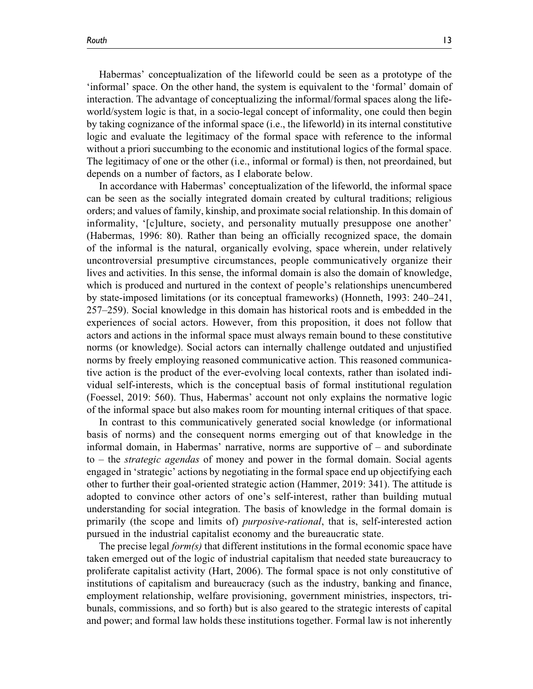Habermas' conceptualization of the lifeworld could be seen as a prototype of the 'informal' space. On the other hand, the system is equivalent to the 'formal' domain of interaction. The advantage of conceptualizing the informal/formal spaces along the lifeworld/system logic is that, in a socio-legal concept of informality, one could then begin by taking cognizance of the informal space (i.e., the lifeworld) in its internal constitutive logic and evaluate the legitimacy of the formal space with reference to the informal without a priori succumbing to the economic and institutional logics of the formal space. The legitimacy of one or the other (i.e., informal or formal) is then, not preordained, but depends on a number of factors, as I elaborate below.

In accordance with Habermas' conceptualization of the lifeworld, the informal space can be seen as the socially integrated domain created by cultural traditions; religious orders; and values of family, kinship, and proximate social relationship. In this domain of informality, '[c]ulture, society, and personality mutually presuppose one another' (Habermas, 1996: 80). Rather than being an officially recognized space, the domain of the informal is the natural, organically evolving, space wherein, under relatively uncontroversial presumptive circumstances, people communicatively organize their lives and activities. In this sense, the informal domain is also the domain of knowledge, which is produced and nurtured in the context of people's relationships unencumbered by state-imposed limitations (or its conceptual frameworks) (Honneth, 1993: 240–241, 257–259). Social knowledge in this domain has historical roots and is embedded in the experiences of social actors. However, from this proposition, it does not follow that actors and actions in the informal space must always remain bound to these constitutive norms (or knowledge). Social actors can internally challenge outdated and unjustified norms by freely employing reasoned communicative action. This reasoned communicative action is the product of the ever-evolving local contexts, rather than isolated individual self-interests, which is the conceptual basis of formal institutional regulation (Foessel, 2019: 560). Thus, Habermas' account not only explains the normative logic of the informal space but also makes room for mounting internal critiques of that space.

In contrast to this communicatively generated social knowledge (or informational basis of norms) and the consequent norms emerging out of that knowledge in the informal domain, in Habermas' narrative, norms are supportive of – and subordinate to – the strategic agendas of money and power in the formal domain. Social agents engaged in 'strategic' actions by negotiating in the formal space end up objectifying each other to further their goal-oriented strategic action (Hammer, 2019: 341). The attitude is adopted to convince other actors of one's self-interest, rather than building mutual understanding for social integration. The basis of knowledge in the formal domain is primarily (the scope and limits of) purposive-rational, that is, self-interested action pursued in the industrial capitalist economy and the bureaucratic state.

The precise legal  $form(s)$  that different institutions in the formal economic space have taken emerged out of the logic of industrial capitalism that needed state bureaucracy to proliferate capitalist activity (Hart, 2006). The formal space is not only constitutive of institutions of capitalism and bureaucracy (such as the industry, banking and finance, employment relationship, welfare provisioning, government ministries, inspectors, tribunals, commissions, and so forth) but is also geared to the strategic interests of capital and power; and formal law holds these institutions together. Formal law is not inherently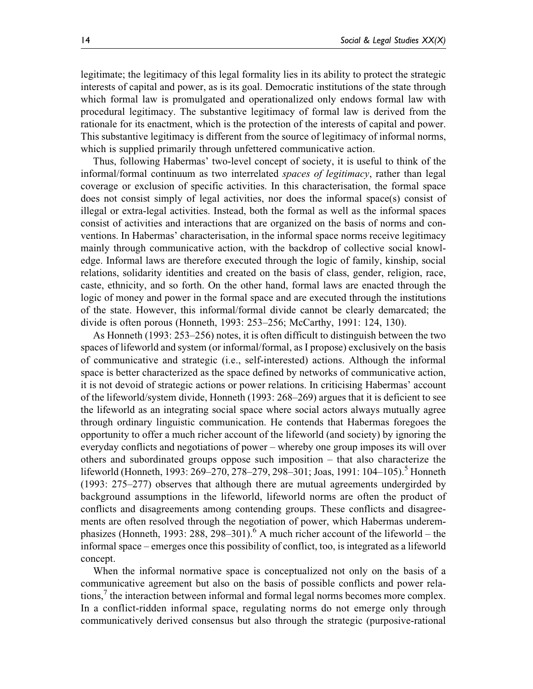legitimate; the legitimacy of this legal formality lies in its ability to protect the strategic interests of capital and power, as is its goal. Democratic institutions of the state through which formal law is promulgated and operationalized only endows formal law with procedural legitimacy. The substantive legitimacy of formal law is derived from the rationale for its enactment, which is the protection of the interests of capital and power. This substantive legitimacy is different from the source of legitimacy of informal norms, which is supplied primarily through unfettered communicative action.

Thus, following Habermas' two-level concept of society, it is useful to think of the informal/formal continuum as two interrelated spaces of legitimacy, rather than legal coverage or exclusion of specific activities. In this characterisation, the formal space does not consist simply of legal activities, nor does the informal space(s) consist of illegal or extra-legal activities. Instead, both the formal as well as the informal spaces consist of activities and interactions that are organized on the basis of norms and conventions. In Habermas' characterisation, in the informal space norms receive legitimacy mainly through communicative action, with the backdrop of collective social knowledge. Informal laws are therefore executed through the logic of family, kinship, social relations, solidarity identities and created on the basis of class, gender, religion, race, caste, ethnicity, and so forth. On the other hand, formal laws are enacted through the logic of money and power in the formal space and are executed through the institutions of the state. However, this informal/formal divide cannot be clearly demarcated; the divide is often porous (Honneth, 1993: 253–256; McCarthy, 1991: 124, 130).

As Honneth (1993: 253–256) notes, it is often difficult to distinguish between the two spaces of lifeworld and system (or informal/formal, as I propose) exclusively on the basis of communicative and strategic (i.e., self-interested) actions. Although the informal space is better characterized as the space defined by networks of communicative action, it is not devoid of strategic actions or power relations. In criticising Habermas' account of the lifeworld/system divide, Honneth (1993: 268–269) argues that it is deficient to see the lifeworld as an integrating social space where social actors always mutually agree through ordinary linguistic communication. He contends that Habermas foregoes the opportunity to offer a much richer account of the lifeworld (and society) by ignoring the everyday conflicts and negotiations of power – whereby one group imposes its will over others and subordinated groups oppose such imposition – that also characterize the lifeworld (Honneth, 1993: 269–270, 278–279, 298–301; Joas, 1991: 104–105).<sup>5</sup> Honneth (1993: 275–277) observes that although there are mutual agreements undergirded by background assumptions in the lifeworld, lifeworld norms are often the product of conflicts and disagreements among contending groups. These conflicts and disagreements are often resolved through the negotiation of power, which Habermas underemphasizes (Honneth, 1993: 288, 298–301).<sup>6</sup> A much richer account of the lifeworld – the informal space – emerges once this possibility of conflict, too, is integrated as a lifeworld concept.

When the informal normative space is conceptualized not only on the basis of a communicative agreement but also on the basis of possible conflicts and power relations, $\frac{7}{1}$  the interaction between informal and formal legal norms becomes more complex. In a conflict-ridden informal space, regulating norms do not emerge only through communicatively derived consensus but also through the strategic (purposive-rational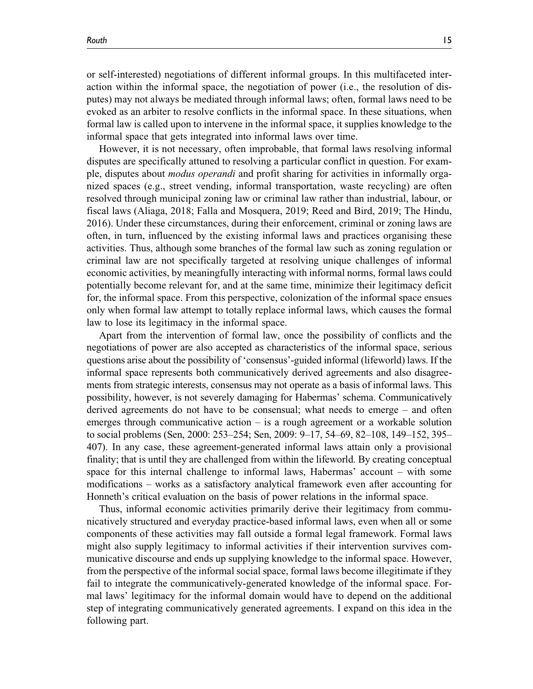or self-interested) negotiations of different informal groups. In this multifaceted interaction within the informal space, the negotiation of power (i.e., the resolution of disputes) may not always be mediated through informal laws; often, formal laws need to be evoked as an arbiter to resolve conflicts in the informal space. In these situations, when formal law is called upon to intervene in the informal space, it supplies knowledge to the informal space that gets integrated into informal laws over time.

However, it is not necessary, often improbable, that formal laws resolving informal disputes are specifically attuned to resolving a particular conflict in question. For example, disputes about modus operandi and profit sharing for activities in informally organized spaces (e.g., street vending, informal transportation, waste recycling) are often resolved through municipal zoning law or criminal law rather than industrial, labour, or fiscal laws (Aliaga, 2018; Falla and Mosquera, 2019; Reed and Bird, 2019; The Hindu, 2016). Under these circumstances, during their enforcement, criminal or zoning laws are often, in turn, influenced by the existing informal laws and practices organising these activities. Thus, although some branches of the formal law such as zoning regulation or criminal law are not specifically targeted at resolving unique challenges of informal economic activities, by meaningfully interacting with informal norms, formal laws could potentially become relevant for, and at the same time, minimize their legitimacy deficit for, the informal space. From this perspective, colonization of the informal space ensues only when formal law attempt to totally replace informal laws, which causes the formal law to lose its legitimacy in the informal space.

Apart from the intervention of formal law, once the possibility of conflicts and the negotiations of power are also accepted as characteristics of the informal space, serious questions arise about the possibility of 'consensus'-guided informal (lifeworld) laws. If the informal space represents both communicatively derived agreements and also disagreements from strategic interests, consensus may not operate as a basis of informal laws. This possibility, however, is not severely damaging for Habermas' schema. Communicatively derived agreements do not have to be consensual; what needs to emerge – and often emerges through communicative action – is a rough agreement or a workable solution to social problems (Sen, 2000: 253–254; Sen, 2009: 9–17, 54–69, 82–108, 149–152, 395– 407). In any case, these agreement-generated informal laws attain only a provisional finality; that is until they are challenged from within the lifeworld. By creating conceptual space for this internal challenge to informal laws, Habermas' account – with some modifications – works as a satisfactory analytical framework even after accounting for Honneth's critical evaluation on the basis of power relations in the informal space.

Thus, informal economic activities primarily derive their legitimacy from communicatively structured and everyday practice-based informal laws, even when all or some components of these activities may fall outside a formal legal framework. Formal laws might also supply legitimacy to informal activities if their intervention survives communicative discourse and ends up supplying knowledge to the informal space. However, from the perspective of the informal social space, formal laws become illegitimate if they fail to integrate the communicatively-generated knowledge of the informal space. Formal laws' legitimacy for the informal domain would have to depend on the additional step of integrating communicatively generated agreements. I expand on this idea in the following part.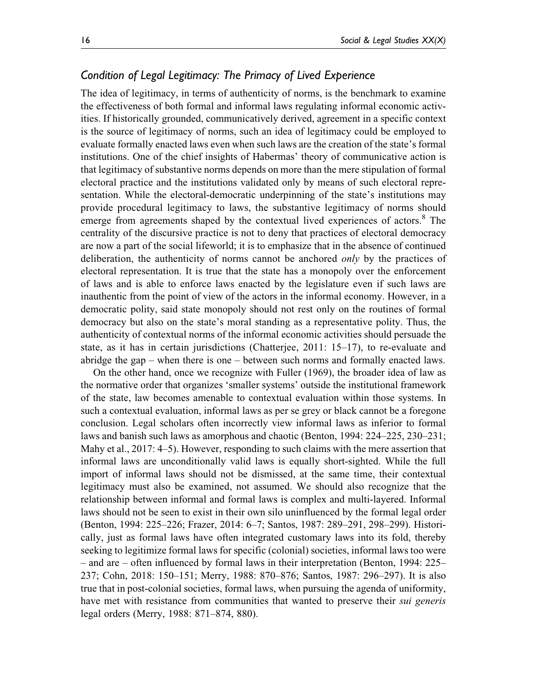# *Condition of Legal Legitimacy: The Primacy of Lived Experience*

The idea of legitimacy, in terms of authenticity of norms, is the benchmark to examine the effectiveness of both formal and informal laws regulating informal economic activities. If historically grounded, communicatively derived, agreement in a specific context is the source of legitimacy of norms, such an idea of legitimacy could be employed to evaluate formally enacted laws even when such laws are the creation of the state's formal institutions. One of the chief insights of Habermas' theory of communicative action is that legitimacy of substantive norms depends on more than the mere stipulation of formal electoral practice and the institutions validated only by means of such electoral representation. While the electoral-democratic underpinning of the state's institutions may provide procedural legitimacy to laws, the substantive legitimacy of norms should emerge from agreements shaped by the contextual lived experiences of actors.<sup>8</sup> The centrality of the discursive practice is not to deny that practices of electoral democracy are now a part of the social lifeworld; it is to emphasize that in the absence of continued deliberation, the authenticity of norms cannot be anchored *only* by the practices of electoral representation. It is true that the state has a monopoly over the enforcement of laws and is able to enforce laws enacted by the legislature even if such laws are inauthentic from the point of view of the actors in the informal economy. However, in a democratic polity, said state monopoly should not rest only on the routines of formal democracy but also on the state's moral standing as a representative polity. Thus, the authenticity of contextual norms of the informal economic activities should persuade the state, as it has in certain jurisdictions (Chatterjee, 2011: 15–17), to re-evaluate and abridge the gap – when there is one – between such norms and formally enacted laws.

On the other hand, once we recognize with Fuller (1969), the broader idea of law as the normative order that organizes 'smaller systems' outside the institutional framework of the state, law becomes amenable to contextual evaluation within those systems. In such a contextual evaluation, informal laws as per se grey or black cannot be a foregone conclusion. Legal scholars often incorrectly view informal laws as inferior to formal laws and banish such laws as amorphous and chaotic (Benton, 1994: 224–225, 230–231; Mahy et al., 2017: 4–5). However, responding to such claims with the mere assertion that informal laws are unconditionally valid laws is equally short-sighted. While the full import of informal laws should not be dismissed, at the same time, their contextual legitimacy must also be examined, not assumed. We should also recognize that the relationship between informal and formal laws is complex and multi-layered. Informal laws should not be seen to exist in their own silo uninfluenced by the formal legal order (Benton, 1994: 225–226; Frazer, 2014: 6–7; Santos, 1987: 289–291, 298–299). Historically, just as formal laws have often integrated customary laws into its fold, thereby seeking to legitimize formal laws for specific (colonial) societies, informal laws too were – and are – often influenced by formal laws in their interpretation (Benton, 1994: 225– 237; Cohn, 2018: 150–151; Merry, 1988: 870–876; Santos, 1987: 296–297). It is also true that in post-colonial societies, formal laws, when pursuing the agenda of uniformity, have met with resistance from communities that wanted to preserve their *sui generis* legal orders (Merry, 1988: 871–874, 880).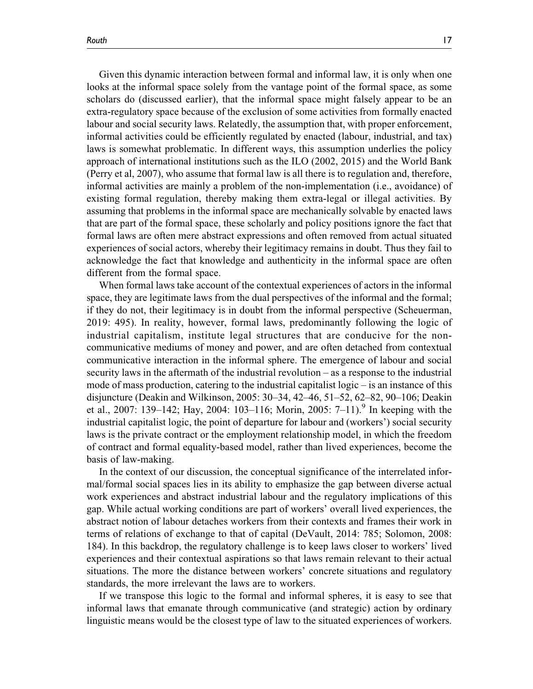Given this dynamic interaction between formal and informal law, it is only when one looks at the informal space solely from the vantage point of the formal space, as some scholars do (discussed earlier), that the informal space might falsely appear to be an extra-regulatory space because of the exclusion of some activities from formally enacted labour and social security laws. Relatedly, the assumption that, with proper enforcement, informal activities could be efficiently regulated by enacted (labour, industrial, and tax) laws is somewhat problematic. In different ways, this assumption underlies the policy approach of international institutions such as the ILO (2002, 2015) and the World Bank (Perry et al, 2007), who assume that formal law is all there is to regulation and, therefore, informal activities are mainly a problem of the non-implementation (i.e., avoidance) of existing formal regulation, thereby making them extra-legal or illegal activities. By assuming that problems in the informal space are mechanically solvable by enacted laws that are part of the formal space, these scholarly and policy positions ignore the fact that formal laws are often mere abstract expressions and often removed from actual situated experiences of social actors, whereby their legitimacy remains in doubt. Thus they fail to acknowledge the fact that knowledge and authenticity in the informal space are often different from the formal space.

When formal laws take account of the contextual experiences of actors in the informal space, they are legitimate laws from the dual perspectives of the informal and the formal; if they do not, their legitimacy is in doubt from the informal perspective (Scheuerman, 2019: 495). In reality, however, formal laws, predominantly following the logic of industrial capitalism, institute legal structures that are conducive for the noncommunicative mediums of money and power, and are often detached from contextual communicative interaction in the informal sphere. The emergence of labour and social security laws in the aftermath of the industrial revolution – as a response to the industrial mode of mass production, catering to the industrial capitalist logic – is an instance of this disjuncture (Deakin and Wilkinson, 2005: 30–34, 42–46, 51–52, 62–82, 90–106; Deakin et al., 2007: 139–142; Hay, 2004: 103–116; Morin, 2005: 7–11).<sup>9</sup> In keeping with the industrial capitalist logic, the point of departure for labour and (workers') social security laws is the private contract or the employment relationship model, in which the freedom of contract and formal equality-based model, rather than lived experiences, become the basis of law-making.

In the context of our discussion, the conceptual significance of the interrelated informal/formal social spaces lies in its ability to emphasize the gap between diverse actual work experiences and abstract industrial labour and the regulatory implications of this gap. While actual working conditions are part of workers' overall lived experiences, the abstract notion of labour detaches workers from their contexts and frames their work in terms of relations of exchange to that of capital (DeVault, 2014: 785; Solomon, 2008: 184). In this backdrop, the regulatory challenge is to keep laws closer to workers' lived experiences and their contextual aspirations so that laws remain relevant to their actual situations. The more the distance between workers' concrete situations and regulatory standards, the more irrelevant the laws are to workers.

If we transpose this logic to the formal and informal spheres, it is easy to see that informal laws that emanate through communicative (and strategic) action by ordinary linguistic means would be the closest type of law to the situated experiences of workers.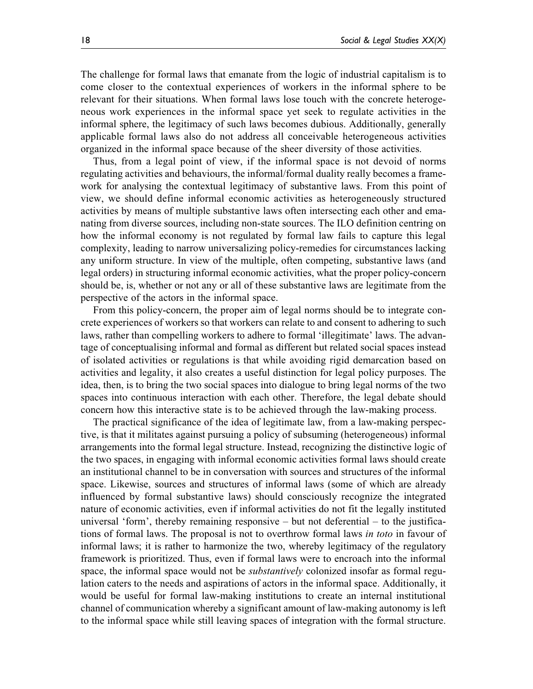The challenge for formal laws that emanate from the logic of industrial capitalism is to come closer to the contextual experiences of workers in the informal sphere to be relevant for their situations. When formal laws lose touch with the concrete heterogeneous work experiences in the informal space yet seek to regulate activities in the informal sphere, the legitimacy of such laws becomes dubious. Additionally, generally applicable formal laws also do not address all conceivable heterogeneous activities organized in the informal space because of the sheer diversity of those activities.

Thus, from a legal point of view, if the informal space is not devoid of norms regulating activities and behaviours, the informal/formal duality really becomes a framework for analysing the contextual legitimacy of substantive laws. From this point of view, we should define informal economic activities as heterogeneously structured activities by means of multiple substantive laws often intersecting each other and emanating from diverse sources, including non-state sources. The ILO definition centring on how the informal economy is not regulated by formal law fails to capture this legal complexity, leading to narrow universalizing policy-remedies for circumstances lacking any uniform structure. In view of the multiple, often competing, substantive laws (and legal orders) in structuring informal economic activities, what the proper policy-concern should be, is, whether or not any or all of these substantive laws are legitimate from the perspective of the actors in the informal space.

From this policy-concern, the proper aim of legal norms should be to integrate concrete experiences of workers so that workers can relate to and consent to adhering to such laws, rather than compelling workers to adhere to formal 'illegitimate' laws. The advantage of conceptualising informal and formal as different but related social spaces instead of isolated activities or regulations is that while avoiding rigid demarcation based on activities and legality, it also creates a useful distinction for legal policy purposes. The idea, then, is to bring the two social spaces into dialogue to bring legal norms of the two spaces into continuous interaction with each other. Therefore, the legal debate should concern how this interactive state is to be achieved through the law-making process.

The practical significance of the idea of legitimate law, from a law-making perspective, is that it militates against pursuing a policy of subsuming (heterogeneous) informal arrangements into the formal legal structure. Instead, recognizing the distinctive logic of the two spaces, in engaging with informal economic activities formal laws should create an institutional channel to be in conversation with sources and structures of the informal space. Likewise, sources and structures of informal laws (some of which are already influenced by formal substantive laws) should consciously recognize the integrated nature of economic activities, even if informal activities do not fit the legally instituted universal 'form', thereby remaining responsive – but not deferential – to the justifications of formal laws. The proposal is not to overthrow formal laws in toto in favour of informal laws; it is rather to harmonize the two, whereby legitimacy of the regulatory framework is prioritized. Thus, even if formal laws were to encroach into the informal space, the informal space would not be *substantively* colonized insofar as formal regulation caters to the needs and aspirations of actors in the informal space. Additionally, it would be useful for formal law-making institutions to create an internal institutional channel of communication whereby a significant amount of law-making autonomy is left to the informal space while still leaving spaces of integration with the formal structure.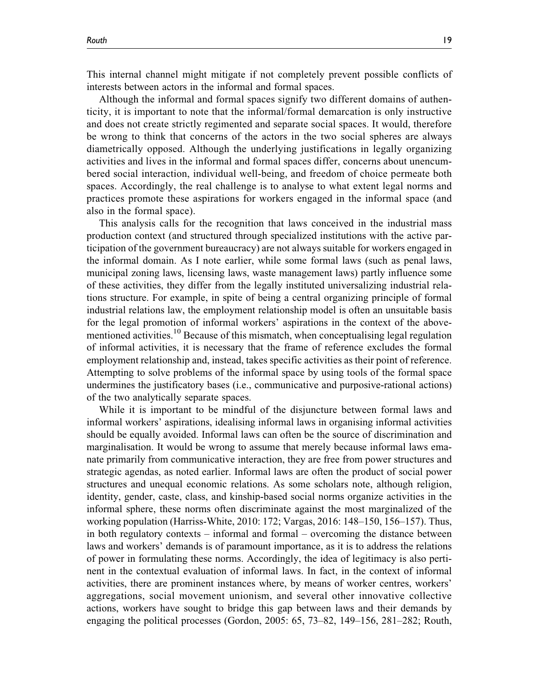This internal channel might mitigate if not completely prevent possible conflicts of interests between actors in the informal and formal spaces.

Although the informal and formal spaces signify two different domains of authenticity, it is important to note that the informal/formal demarcation is only instructive and does not create strictly regimented and separate social spaces. It would, therefore be wrong to think that concerns of the actors in the two social spheres are always diametrically opposed. Although the underlying justifications in legally organizing activities and lives in the informal and formal spaces differ, concerns about unencumbered social interaction, individual well-being, and freedom of choice permeate both spaces. Accordingly, the real challenge is to analyse to what extent legal norms and practices promote these aspirations for workers engaged in the informal space (and also in the formal space).

This analysis calls for the recognition that laws conceived in the industrial mass production context (and structured through specialized institutions with the active participation of the government bureaucracy) are not always suitable for workers engaged in the informal domain. As I note earlier, while some formal laws (such as penal laws, municipal zoning laws, licensing laws, waste management laws) partly influence some of these activities, they differ from the legally instituted universalizing industrial relations structure. For example, in spite of being a central organizing principle of formal industrial relations law, the employment relationship model is often an unsuitable basis for the legal promotion of informal workers' aspirations in the context of the abovementioned activities.<sup>10</sup> Because of this mismatch, when conceptualising legal regulation of informal activities, it is necessary that the frame of reference excludes the formal employment relationship and, instead, takes specific activities as their point of reference. Attempting to solve problems of the informal space by using tools of the formal space undermines the justificatory bases (i.e., communicative and purposive-rational actions) of the two analytically separate spaces.

While it is important to be mindful of the disjuncture between formal laws and informal workers' aspirations, idealising informal laws in organising informal activities should be equally avoided. Informal laws can often be the source of discrimination and marginalisation. It would be wrong to assume that merely because informal laws emanate primarily from communicative interaction, they are free from power structures and strategic agendas, as noted earlier. Informal laws are often the product of social power structures and unequal economic relations. As some scholars note, although religion, identity, gender, caste, class, and kinship-based social norms organize activities in the informal sphere, these norms often discriminate against the most marginalized of the working population (Harriss-White, 2010: 172; Vargas, 2016: 148–150, 156–157). Thus, in both regulatory contexts – informal and formal – overcoming the distance between laws and workers' demands is of paramount importance, as it is to address the relations of power in formulating these norms. Accordingly, the idea of legitimacy is also pertinent in the contextual evaluation of informal laws. In fact, in the context of informal activities, there are prominent instances where, by means of worker centres, workers' aggregations, social movement unionism, and several other innovative collective actions, workers have sought to bridge this gap between laws and their demands by engaging the political processes (Gordon, 2005: 65, 73–82, 149–156, 281–282; Routh,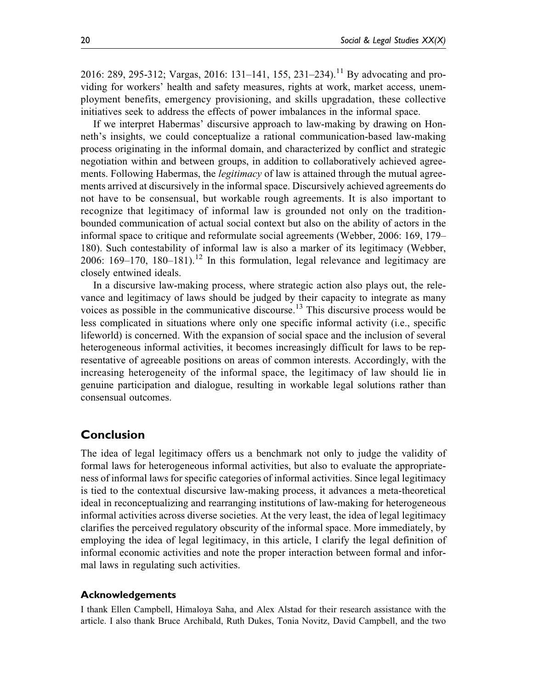2016: 289, 295-312; Vargas, 2016: 131–141, 155, 231–234).<sup>11</sup> By advocating and providing for workers' health and safety measures, rights at work, market access, unemployment benefits, emergency provisioning, and skills upgradation, these collective initiatives seek to address the effects of power imbalances in the informal space.

If we interpret Habermas' discursive approach to law-making by drawing on Honneth's insights, we could conceptualize a rational communication-based law-making process originating in the informal domain, and characterized by conflict and strategic negotiation within and between groups, in addition to collaboratively achieved agreements. Following Habermas, the *legitimacy* of law is attained through the mutual agreements arrived at discursively in the informal space. Discursively achieved agreements do not have to be consensual, but workable rough agreements. It is also important to recognize that legitimacy of informal law is grounded not only on the traditionbounded communication of actual social context but also on the ability of actors in the informal space to critique and reformulate social agreements (Webber, 2006: 169, 179– 180). Such contestability of informal law is also a marker of its legitimacy (Webber, 2006: 169–170, 180–181).<sup>12</sup> In this formulation, legal relevance and legitimacy are closely entwined ideals.

In a discursive law-making process, where strategic action also plays out, the relevance and legitimacy of laws should be judged by their capacity to integrate as many voices as possible in the communicative discourse.<sup>13</sup> This discursive process would be less complicated in situations where only one specific informal activity (i.e., specific lifeworld) is concerned. With the expansion of social space and the inclusion of several heterogeneous informal activities, it becomes increasingly difficult for laws to be representative of agreeable positions on areas of common interests. Accordingly, with the increasing heterogeneity of the informal space, the legitimacy of law should lie in genuine participation and dialogue, resulting in workable legal solutions rather than consensual outcomes.

## **Conclusion**

The idea of legal legitimacy offers us a benchmark not only to judge the validity of formal laws for heterogeneous informal activities, but also to evaluate the appropriateness of informal laws for specific categories of informal activities. Since legal legitimacy is tied to the contextual discursive law-making process, it advances a meta-theoretical ideal in reconceptualizing and rearranging institutions of law-making for heterogeneous informal activities across diverse societies. At the very least, the idea of legal legitimacy clarifies the perceived regulatory obscurity of the informal space. More immediately, by employing the idea of legal legitimacy, in this article, I clarify the legal definition of informal economic activities and note the proper interaction between formal and informal laws in regulating such activities.

## **Acknowledgements**

I thank Ellen Campbell, Himaloya Saha, and Alex Alstad for their research assistance with the article. I also thank Bruce Archibald, Ruth Dukes, Tonia Novitz, David Campbell, and the two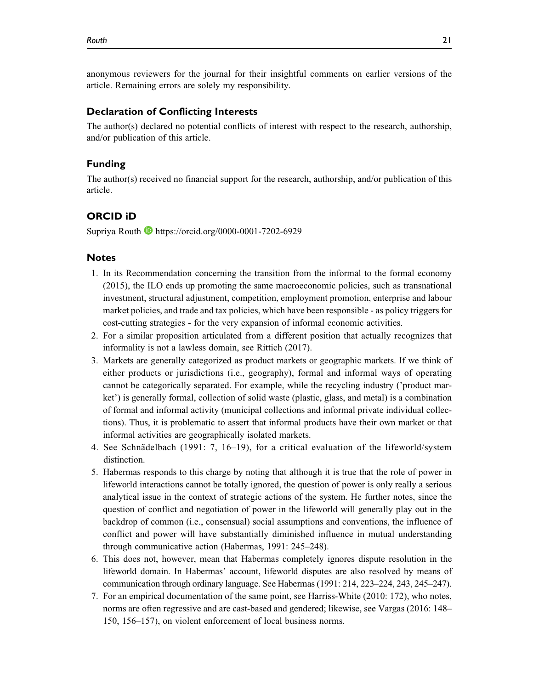anonymous reviewers for the journal for their insightful comments on earlier versions of the article. Remaining errors are solely my responsibility.

### **Declaration of Conflicting Interests**

The author(s) declared no potential conflicts of interest with respect to the research, authorship, and/or publication of this article.

#### **Funding**

The author(s) received no financial support for the research, authorship, and/or publication of this article.

## **ORCID iD**

Supriya Routh **https://orcid.org/0000-0001-7202-6929** 

#### **Notes**

- 1. In its Recommendation concerning the transition from the informal to the formal economy (2015), the ILO ends up promoting the same macroeconomic policies, such as transnational investment, structural adjustment, competition, employment promotion, enterprise and labour market policies, and trade and tax policies, which have been responsible - as policy triggers for cost-cutting strategies - for the very expansion of informal economic activities.
- 2. For a similar proposition articulated from a different position that actually recognizes that informality is not a lawless domain, see Rittich (2017).
- 3. Markets are generally categorized as product markets or geographic markets. If we think of either products or jurisdictions (i.e., geography), formal and informal ways of operating cannot be categorically separated. For example, while the recycling industry ('product market') is generally formal, collection of solid waste (plastic, glass, and metal) is a combination of formal and informal activity (municipal collections and informal private individual collections). Thus, it is problematic to assert that informal products have their own market or that informal activities are geographically isolated markets.
- 4. See Schnädelbach (1991: 7, 16–19), for a critical evaluation of the lifeworld/system distinction.
- 5. Habermas responds to this charge by noting that although it is true that the role of power in lifeworld interactions cannot be totally ignored, the question of power is only really a serious analytical issue in the context of strategic actions of the system. He further notes, since the question of conflict and negotiation of power in the lifeworld will generally play out in the backdrop of common (i.e., consensual) social assumptions and conventions, the influence of conflict and power will have substantially diminished influence in mutual understanding through communicative action (Habermas, 1991: 245–248).
- 6. This does not, however, mean that Habermas completely ignores dispute resolution in the lifeworld domain. In Habermas' account, lifeworld disputes are also resolved by means of communication through ordinary language. See Habermas (1991: 214, 223–224, 243, 245–247).
- 7. For an empirical documentation of the same point, see Harriss-White (2010: 172), who notes, norms are often regressive and are cast-based and gendered; likewise, see Vargas (2016: 148– 150, 156–157), on violent enforcement of local business norms.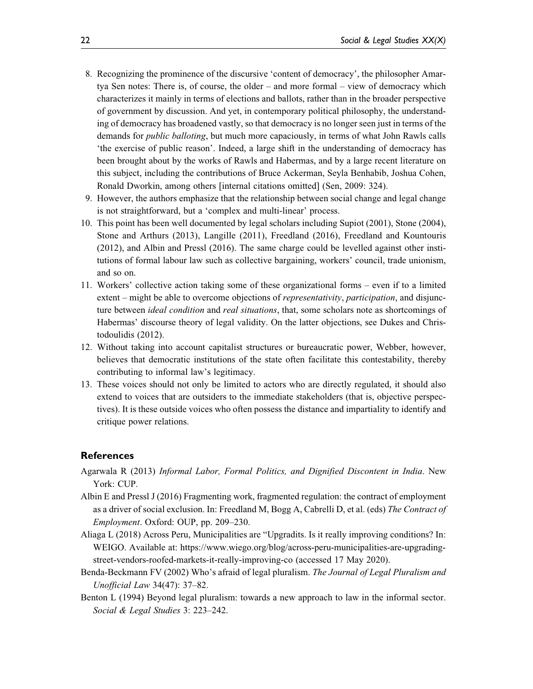- 8. Recognizing the prominence of the discursive 'content of democracy', the philosopher Amartya Sen notes: There is, of course, the older – and more formal – view of democracy which characterizes it mainly in terms of elections and ballots, rather than in the broader perspective of government by discussion. And yet, in contemporary political philosophy, the understanding of democracy has broadened vastly, so that democracy is no longer seen just in terms of the demands for *public balloting*, but much more capaciously, in terms of what John Rawls calls 'the exercise of public reason'. Indeed, a large shift in the understanding of democracy has been brought about by the works of Rawls and Habermas, and by a large recent literature on this subject, including the contributions of Bruce Ackerman, Seyla Benhabib, Joshua Cohen, Ronald Dworkin, among others [internal citations omitted] (Sen, 2009: 324).
- 9. However, the authors emphasize that the relationship between social change and legal change is not straightforward, but a 'complex and multi-linear' process.
- 10. This point has been well documented by legal scholars including Supiot (2001), Stone (2004), Stone and Arthurs (2013), Langille (2011), Freedland (2016), Freedland and Kountouris (2012), and Albin and Pressl (2016). The same charge could be levelled against other institutions of formal labour law such as collective bargaining, workers' council, trade unionism, and so on.
- 11. Workers' collective action taking some of these organizational forms even if to a limited extent – might be able to overcome objections of *representativity*, *participation*, and disjuncture between *ideal condition* and *real situations*, that, some scholars note as shortcomings of Habermas' discourse theory of legal validity. On the latter objections, see Dukes and Christodoulidis (2012).
- 12. Without taking into account capitalist structures or bureaucratic power, Webber, however, believes that democratic institutions of the state often facilitate this contestability, thereby contributing to informal law's legitimacy.
- 13. These voices should not only be limited to actors who are directly regulated, it should also extend to voices that are outsiders to the immediate stakeholders (that is, objective perspectives). It is these outside voices who often possess the distance and impartiality to identify and critique power relations.

## **References**

- Agarwala R (2013) Informal Labor, Formal Politics, and Dignified Discontent in India. New York: CUP.
- Albin E and Pressl J (2016) Fragmenting work, fragmented regulation: the contract of employment as a driver of social exclusion. In: Freedland M, Bogg A, Cabrelli D, et al. (eds) The Contract of Employment. Oxford: OUP, pp. 209–230.
- Aliaga L (2018) Across Peru, Municipalities are "Upgradits. Is it really improving conditions? In: WEIGO. Available at: https://www.wiego.org/blog/across-peru-municipalities-are-upgradingstreet-vendors-roofed-markets-it-really-improving-co (accessed 17 May 2020).
- Benda-Beckmann FV (2002) Who's afraid of legal pluralism. The Journal of Legal Pluralism and Unofficial Law 34(47): 37–82.
- Benton L (1994) Beyond legal pluralism: towards a new approach to law in the informal sector. Social & Legal Studies 3: 223–242.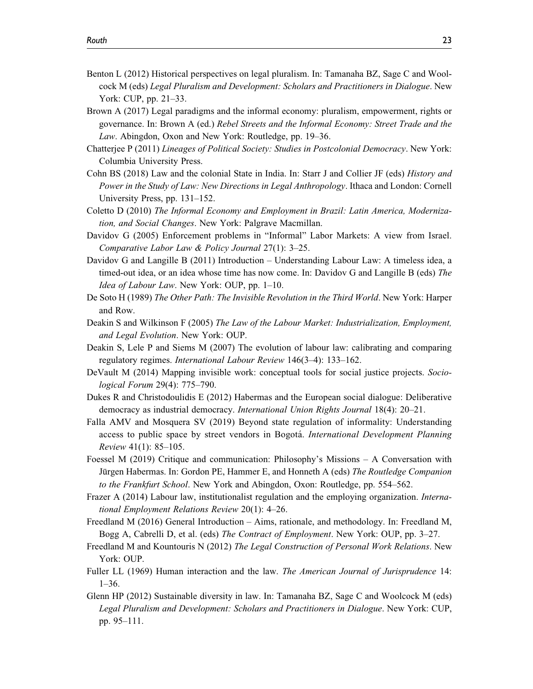- Benton L (2012) Historical perspectives on legal pluralism. In: Tamanaha BZ, Sage C and Woolcock M (eds) Legal Pluralism and Development: Scholars and Practitioners in Dialogue. New York: CUP, pp. 21–33.
- Brown A (2017) Legal paradigms and the informal economy: pluralism, empowerment, rights or governance. In: Brown A (ed.) Rebel Streets and the Informal Economy: Street Trade and the Law. Abingdon, Oxon and New York: Routledge, pp. 19–36.
- Chatterjee P (2011) Lineages of Political Society: Studies in Postcolonial Democracy. New York: Columbia University Press.
- Cohn BS (2018) Law and the colonial State in India. In: Starr J and Collier JF (eds) History and Power in the Study of Law: New Directions in Legal Anthropology. Ithaca and London: Cornell University Press, pp. 131–152.
- Coletto D (2010) The Informal Economy and Employment in Brazil: Latin America, Modernization, and Social Changes. New York: Palgrave Macmillan.
- Davidov G (2005) Enforcement problems in "Informal" Labor Markets: A view from Israel. Comparative Labor Law & Policy Journal 27(1): 3–25.
- Davidov G and Langille B (2011) Introduction Understanding Labour Law: A timeless idea, a timed-out idea, or an idea whose time has now come. In: Davidov G and Langille B (eds) The Idea of Labour Law. New York: OUP, pp. 1–10.
- De Soto H (1989) The Other Path: The Invisible Revolution in the Third World. New York: Harper and Row.
- Deakin S and Wilkinson F (2005) The Law of the Labour Market: Industrialization, Employment, and Legal Evolution. New York: OUP.
- Deakin S, Lele P and Siems M (2007) The evolution of labour law: calibrating and comparing regulatory regimes. International Labour Review 146(3–4): 133–162.
- DeVault M (2014) Mapping invisible work: conceptual tools for social justice projects. Sociological Forum 29(4): 775–790.
- Dukes R and Christodoulidis E (2012) Habermas and the European social dialogue: Deliberative democracy as industrial democracy. International Union Rights Journal 18(4): 20–21.
- Falla AMV and Mosquera SV (2019) Beyond state regulation of informality: Understanding access to public space by street vendors in Bogotá. International Development Planning Review 41(1): 85–105.
- Foessel M (2019) Critique and communication: Philosophy's Missions A Conversation with Jürgen Habermas. In: Gordon PE, Hammer E, and Honneth A (eds) The Routledge Companion to the Frankfurt School. New York and Abingdon, Oxon: Routledge, pp. 554–562.
- Frazer A (2014) Labour law, institutionalist regulation and the employing organization. International Employment Relations Review 20(1): 4–26.
- Freedland M (2016) General Introduction Aims, rationale, and methodology. In: Freedland M, Bogg A, Cabrelli D, et al. (eds) The Contract of Employment. New York: OUP, pp. 3–27.
- Freedland M and Kountouris N (2012) The Legal Construction of Personal Work Relations. New York: OUP.
- Fuller LL (1969) Human interaction and the law. The American Journal of Jurisprudence 14: 1–36.
- Glenn HP (2012) Sustainable diversity in law. In: Tamanaha BZ, Sage C and Woolcock M (eds) Legal Pluralism and Development: Scholars and Practitioners in Dialogue. New York: CUP, pp. 95–111.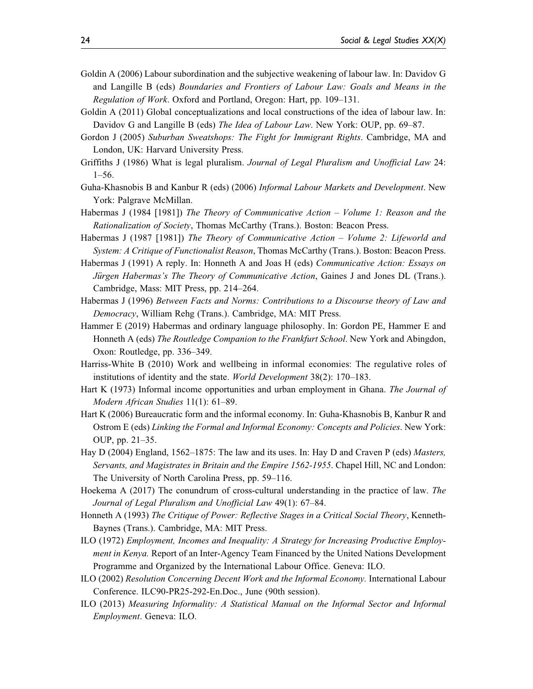- Goldin A (2006) Labour subordination and the subjective weakening of labour law. In: Davidov G and Langille B (eds) Boundaries and Frontiers of Labour Law: Goals and Means in the Regulation of Work. Oxford and Portland, Oregon: Hart, pp. 109–131.
- Goldin A (2011) Global conceptualizations and local constructions of the idea of labour law. In: Davidov G and Langille B (eds) The Idea of Labour Law. New York: OUP, pp. 69–87.
- Gordon J (2005) Suburban Sweatshops: The Fight for Immigrant Rights. Cambridge, MA and London, UK: Harvard University Press.
- Griffiths J (1986) What is legal pluralism. Journal of Legal Pluralism and Unofficial Law 24: 1–56.
- Guha-Khasnobis B and Kanbur R (eds) (2006) Informal Labour Markets and Development. New York: Palgrave McMillan.
- Habermas J (1984 [1981]) The Theory of Communicative Action Volume 1: Reason and the Rationalization of Society, Thomas McCarthy (Trans.). Boston: Beacon Press.
- Habermas J (1987 [1981]) The Theory of Communicative Action Volume 2: Lifeworld and System: A Critique of Functionalist Reason, Thomas McCarthy (Trans.). Boston: Beacon Press.
- Habermas J (1991) A reply. In: Honneth A and Joas H (eds) Communicative Action: Essays on Jürgen Habermas's The Theory of Communicative Action, Gaines J and Jones DL (Trans.). Cambridge, Mass: MIT Press, pp. 214–264.
- Habermas J (1996) Between Facts and Norms: Contributions to a Discourse theory of Law and Democracy, William Rehg (Trans.). Cambridge, MA: MIT Press.
- Hammer E (2019) Habermas and ordinary language philosophy. In: Gordon PE, Hammer E and Honneth A (eds) The Routledge Companion to the Frankfurt School. New York and Abingdon, Oxon: Routledge, pp. 336–349.
- Harriss-White B (2010) Work and wellbeing in informal economies: The regulative roles of institutions of identity and the state. World Development 38(2): 170–183.
- Hart K (1973) Informal income opportunities and urban employment in Ghana. The Journal of Modern African Studies 11(1): 61–89.
- Hart K (2006) Bureaucratic form and the informal economy. In: Guha-Khasnobis B, Kanbur R and Ostrom E (eds) Linking the Formal and Informal Economy: Concepts and Policies. New York: OUP, pp. 21–35.
- Hay D (2004) England, 1562–1875: The law and its uses. In: Hay D and Craven P (eds) *Masters*, Servants, and Magistrates in Britain and the Empire 1562-1955. Chapel Hill, NC and London: The University of North Carolina Press, pp. 59–116.
- Hoekema A (2017) The conundrum of cross-cultural understanding in the practice of law. The Journal of Legal Pluralism and Unofficial Law 49(1): 67–84.
- Honneth A (1993) The Critique of Power: Reflective Stages in a Critical Social Theory, Kenneth-Baynes (Trans.). Cambridge, MA: MIT Press.
- ILO (1972) Employment, Incomes and Inequality: A Strategy for Increasing Productive Employment in Kenya. Report of an Inter-Agency Team Financed by the United Nations Development Programme and Organized by the International Labour Office. Geneva: ILO.
- ILO (2002) Resolution Concerning Decent Work and the Informal Economy. International Labour Conference. ILC90-PR25-292-En.Doc., June (90th session).
- ILO (2013) Measuring Informality: A Statistical Manual on the Informal Sector and Informal Employment. Geneva: ILO.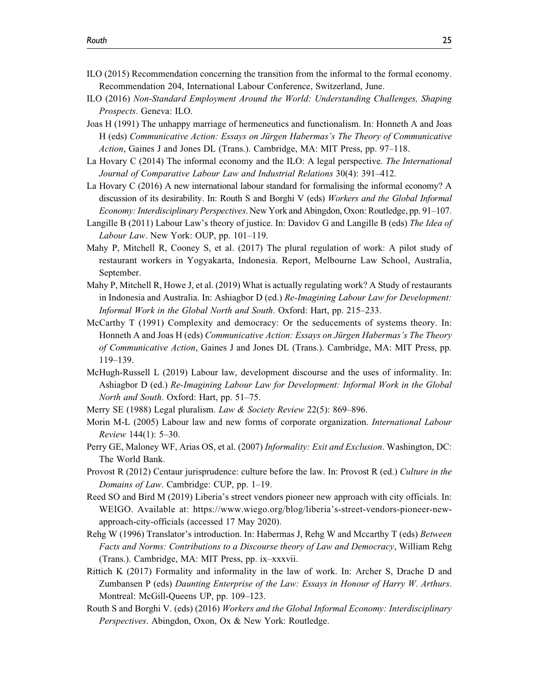- ILO (2015) Recommendation concerning the transition from the informal to the formal economy. Recommendation 204, International Labour Conference, Switzerland, June.
- ILO (2016) Non-Standard Employment Around the World: Understanding Challenges, Shaping Prospects. Geneva: ILO.
- Joas H (1991) The unhappy marriage of hermeneutics and functionalism. In: Honneth A and Joas H (eds) Communicative Action: Essays on Jürgen Habermas's The Theory of Communicative Action, Gaines J and Jones DL (Trans.). Cambridge, MA: MIT Press, pp. 97–118.
- La Hovary C (2014) The informal economy and the ILO: A legal perspective. The International Journal of Comparative Labour Law and Industrial Relations 30(4): 391–412.
- La Hovary C (2016) A new international labour standard for formalising the informal economy? A discussion of its desirability. In: Routh S and Borghi V (eds) Workers and the Global Informal Economy: Interdisciplinary Perspectives. New York and Abingdon, Oxon: Routledge, pp. 91–107.
- Langille B (2011) Labour Law's theory of justice. In: Davidov G and Langille B (eds) The Idea of Labour Law. New York: OUP, pp. 101–119.
- Mahy P, Mitchell R, Cooney S, et al. (2017) The plural regulation of work: A pilot study of restaurant workers in Yogyakarta, Indonesia. Report, Melbourne Law School, Australia, September.
- Mahy P, Mitchell R, Howe J, et al. (2019) What is actually regulating work? A Study of restaurants in Indonesia and Australia. In: Ashiagbor D (ed.) Re-Imagining Labour Law for Development: Informal Work in the Global North and South. Oxford: Hart, pp. 215–233.
- McCarthy T (1991) Complexity and democracy: Or the seducements of systems theory. In: Honneth A and Joas H (eds) Communicative Action: Essays on Jürgen Habermas's The Theory of Communicative Action, Gaines J and Jones DL (Trans.). Cambridge, MA: MIT Press, pp. 119–139.
- McHugh-Russell L (2019) Labour law, development discourse and the uses of informality. In: Ashiagbor D (ed.) Re-Imagining Labour Law for Development: Informal Work in the Global North and South. Oxford: Hart, pp. 51–75.
- Merry SE (1988) Legal pluralism. Law & Society Review 22(5): 869–896.
- Morin M-L (2005) Labour law and new forms of corporate organization. International Labour Review 144(1): 5–30.
- Perry GE, Maloney WF, Arias OS, et al. (2007) Informality: Exit and Exclusion. Washington, DC: The World Bank.
- Provost R (2012) Centaur jurisprudence: culture before the law. In: Provost R (ed.) Culture in the Domains of Law. Cambridge: CUP, pp. 1–19.
- Reed SO and Bird M (2019) Liberia's street vendors pioneer new approach with city officials. In: WEIGO. Available at: https://www.wiego.org/blog/liberia's-street-vendors-pioneer-newapproach-city-officials (accessed 17 May 2020).
- Rehg W (1996) Translator's introduction. In: Habermas J, Rehg W and Mccarthy T (eds) Between Facts and Norms: Contributions to a Discourse theory of Law and Democracy, William Rehg (Trans.). Cambridge, MA: MIT Press, pp. ix–xxxvii.
- Rittich K (2017) Formality and informality in the law of work. In: Archer S, Drache D and Zumbansen P (eds) Daunting Enterprise of the Law: Essays in Honour of Harry W. Arthurs. Montreal: McGill-Queens UP, pp. 109–123.
- Routh S and Borghi V. (eds) (2016) Workers and the Global Informal Economy: Interdisciplinary Perspectives. Abingdon, Oxon, Ox & New York: Routledge.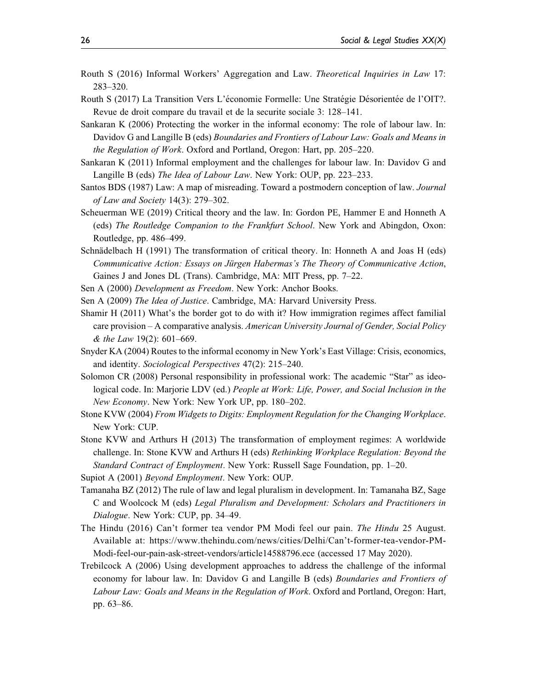- Routh S (2016) Informal Workers' Aggregation and Law. Theoretical Inquiries in Law 17: 283–320.
- Routh S (2017) La Transition Vers L'économie Formelle: Une Stratégie Désorientée de l'OIT?. Revue de droit compare du travail et de la securite sociale 3: 128–141.
- Sankaran K (2006) Protecting the worker in the informal economy: The role of labour law. In: Davidov G and Langille B (eds) Boundaries and Frontiers of Labour Law: Goals and Means in the Regulation of Work. Oxford and Portland, Oregon: Hart, pp. 205–220.
- Sankaran K (2011) Informal employment and the challenges for labour law. In: Davidov G and Langille B (eds) The Idea of Labour Law. New York: OUP, pp. 223–233.
- Santos BDS (1987) Law: A map of misreading. Toward a postmodern conception of law. Journal of Law and Society 14(3): 279–302.
- Scheuerman WE (2019) Critical theory and the law. In: Gordon PE, Hammer E and Honneth A (eds) The Routledge Companion to the Frankfurt School. New York and Abingdon, Oxon: Routledge, pp. 486–499.
- Schnädelbach H (1991) The transformation of critical theory. In: Honneth A and Joas H (eds) Communicative Action: Essays on Jürgen Habermas's The Theory of Communicative Action, Gaines J and Jones DL (Trans). Cambridge, MA: MIT Press, pp. 7–22.
- Sen A (2000) Development as Freedom. New York: Anchor Books.
- Sen A (2009) The Idea of Justice. Cambridge, MA: Harvard University Press.
- Shamir H (2011) What's the border got to do with it? How immigration regimes affect familial care provision – A comparative analysis. American University Journal of Gender, Social Policy & the Law 19(2): 601–669.
- Snyder KA (2004) Routes to the informal economy in New York's East Village: Crisis, economics, and identity. Sociological Perspectives 47(2): 215–240.
- Solomon CR (2008) Personal responsibility in professional work: The academic "Star" as ideological code. In: Marjorie LDV (ed.) People at Work: Life, Power, and Social Inclusion in the New Economy. New York: New York UP, pp. 180–202.
- Stone KVW (2004) From Widgets to Digits: Employment Regulation for the Changing Workplace. New York: CUP.
- Stone KVW and Arthurs H (2013) The transformation of employment regimes: A worldwide challenge. In: Stone KVW and Arthurs H (eds) Rethinking Workplace Regulation: Beyond the Standard Contract of Employment. New York: Russell Sage Foundation, pp. 1–20.
- Supiot A (2001) Beyond Employment. New York: OUP.
- Tamanaha BZ (2012) The rule of law and legal pluralism in development. In: Tamanaha BZ, Sage C and Woolcock M (eds) Legal Pluralism and Development: Scholars and Practitioners in Dialogue. New York: CUP, pp. 34–49.
- The Hindu (2016) Can't former tea vendor PM Modi feel our pain. The Hindu 25 August. Available at: https://www.thehindu.com/news/cities/Delhi/Can't-former-tea-vendor-PM-Modi-feel-our-pain-ask-street-vendors/article14588796.ece (accessed 17 May 2020).
- Trebilcock A (2006) Using development approaches to address the challenge of the informal economy for labour law. In: Davidov G and Langille B (eds) Boundaries and Frontiers of Labour Law: Goals and Means in the Regulation of Work. Oxford and Portland, Oregon: Hart, pp. 63–86.